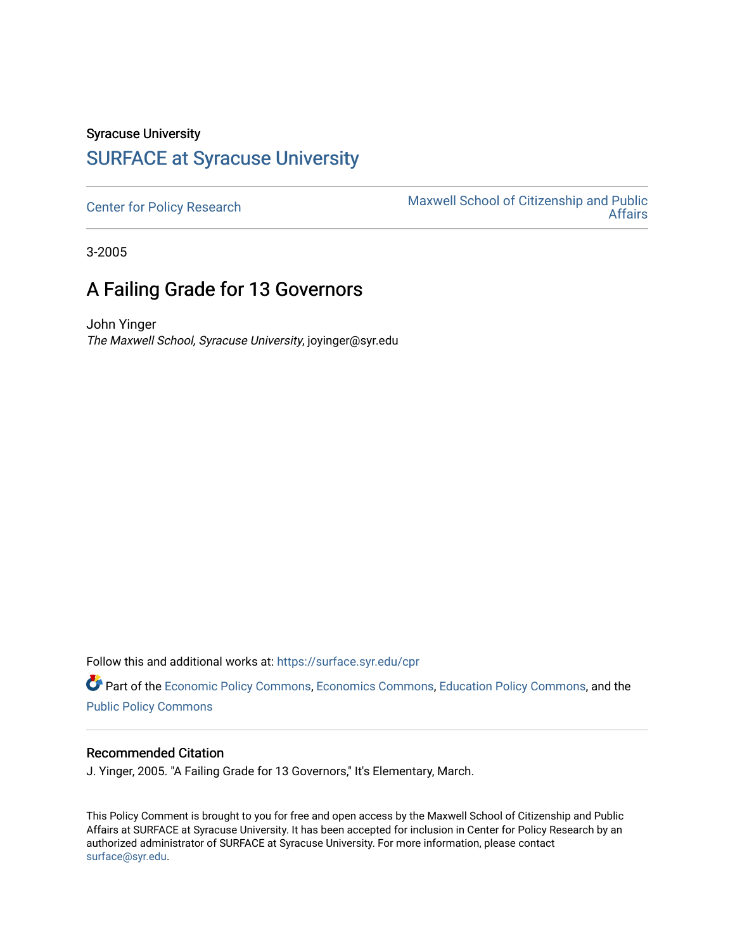## Syracuse University [SURFACE at Syracuse University](https://surface.syr.edu/)

[Center for Policy Research](https://surface.syr.edu/cpr) Maxwell School of Citizenship and Public<br>Affairs [Affairs](https://surface.syr.edu/maxwell) 

3-2005

## A Failing Grade for 13 Governors

John Yinger The Maxwell School, Syracuse University, joyinger@syr.edu

Follow this and additional works at: [https://surface.syr.edu/cpr](https://surface.syr.edu/cpr?utm_source=surface.syr.edu%2Fcpr%2F321&utm_medium=PDF&utm_campaign=PDFCoverPages) 

Part of the [Economic Policy Commons](http://network.bepress.com/hgg/discipline/1025?utm_source=surface.syr.edu%2Fcpr%2F321&utm_medium=PDF&utm_campaign=PDFCoverPages), [Economics Commons,](http://network.bepress.com/hgg/discipline/340?utm_source=surface.syr.edu%2Fcpr%2F321&utm_medium=PDF&utm_campaign=PDFCoverPages) [Education Policy Commons](http://network.bepress.com/hgg/discipline/1026?utm_source=surface.syr.edu%2Fcpr%2F321&utm_medium=PDF&utm_campaign=PDFCoverPages), and the [Public Policy Commons](http://network.bepress.com/hgg/discipline/400?utm_source=surface.syr.edu%2Fcpr%2F321&utm_medium=PDF&utm_campaign=PDFCoverPages)

## Recommended Citation

J. Yinger, 2005. "A Failing Grade for 13 Governors," It's Elementary, March.

This Policy Comment is brought to you for free and open access by the Maxwell School of Citizenship and Public Affairs at SURFACE at Syracuse University. It has been accepted for inclusion in Center for Policy Research by an authorized administrator of SURFACE at Syracuse University. For more information, please contact [surface@syr.edu.](mailto:surface@syr.edu)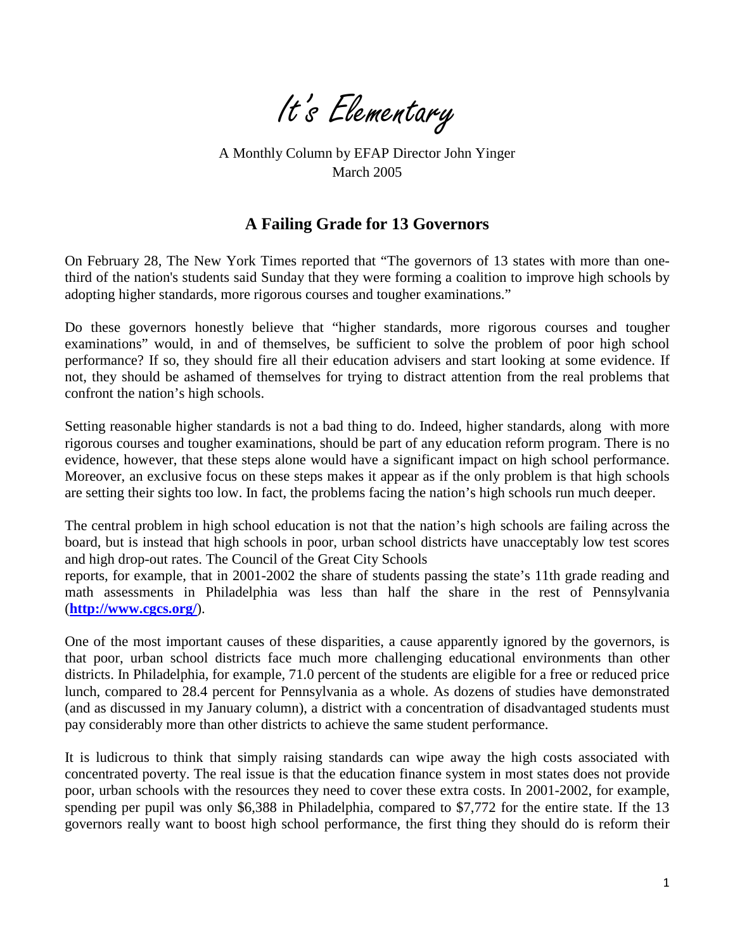

A Monthly Column by EFAP Director John Yinger March 2005

## **A Failing Grade for 13 Governors**

On February 28, The New York Times reported that "The governors of 13 states with more than onethird of the nation's students said Sunday that they were forming a coalition to improve high schools by adopting higher standards, more rigorous courses and tougher examinations."

Do these governors honestly believe that "higher standards, more rigorous courses and tougher examinations" would, in and of themselves, be sufficient to solve the problem of poor high school performance? If so, they should fire all their education advisers and start looking at some evidence. If not, they should be ashamed of themselves for trying to distract attention from the real problems that confront the nation's high schools.

Setting reasonable higher standards is not a bad thing to do. Indeed, higher standards, along with more rigorous courses and tougher examinations, should be part of any education reform program. There is no evidence, however, that these steps alone would have a significant impact on high school performance. Moreover, an exclusive focus on these steps makes it appear as if the only problem is that high schools are setting their sights too low. In fact, the problems facing the nation's high schools run much deeper.

The central problem in high school education is not that the nation's high schools are failing across the board, but is instead that high schools in poor, urban school districts have unacceptably low test scores and high drop-out rates. The Council of the Great City Schools

reports, for example, that in 2001-2002 the share of students passing the state's 11th grade reading and math assessments in Philadelphia was less than half the share in the rest of Pennsylvania (**<http://www.cgcs.org/>**).

One of the most important causes of these disparities, a cause apparently ignored by the governors, is that poor, urban school districts face much more challenging educational environments than other districts. In Philadelphia, for example, 71.0 percent of the students are eligible for a free or reduced price lunch, compared to 28.4 percent for Pennsylvania as a whole. As dozens of studies have demonstrated (and as discussed in my January column), a district with a concentration of disadvantaged students must pay considerably more than other districts to achieve the same student performance.

It is ludicrous to think that simply raising standards can wipe away the high costs associated with concentrated poverty. The real issue is that the education finance system in most states does not provide poor, urban schools with the resources they need to cover these extra costs. In 2001-2002, for example, spending per pupil was only \$6,388 in Philadelphia, compared to \$7,772 for the entire state. If the 13 governors really want to boost high school performance, the first thing they should do is reform their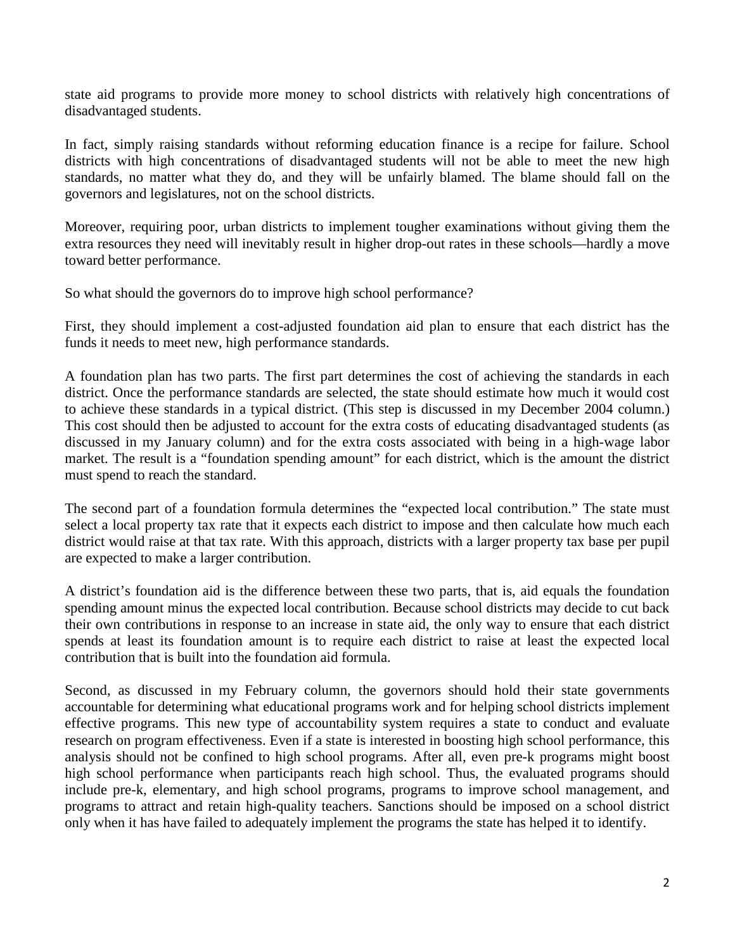state aid programs to provide more money to school districts with relatively high concentrations of disadvantaged students.

In fact, simply raising standards without reforming education finance is a recipe for failure. School districts with high concentrations of disadvantaged students will not be able to meet the new high standards, no matter what they do, and they will be unfairly blamed. The blame should fall on the governors and legislatures, not on the school districts.

Moreover, requiring poor, urban districts to implement tougher examinations without giving them the extra resources they need will inevitably result in higher drop-out rates in these schools—hardly a move toward better performance.

So what should the governors do to improve high school performance?

First, they should implement a cost-adjusted foundation aid plan to ensure that each district has the funds it needs to meet new, high performance standards.

A foundation plan has two parts. The first part determines the cost of achieving the standards in each district. Once the performance standards are selected, the state should estimate how much it would cost to achieve these standards in a typical district. (This step is discussed in my December 2004 column.) This cost should then be adjusted to account for the extra costs of educating disadvantaged students (as discussed in my January column) and for the extra costs associated with being in a high-wage labor market. The result is a "foundation spending amount" for each district, which is the amount the district must spend to reach the standard.

The second part of a foundation formula determines the "expected local contribution." The state must select a local property tax rate that it expects each district to impose and then calculate how much each district would raise at that tax rate. With this approach, districts with a larger property tax base per pupil are expected to make a larger contribution.

A district's foundation aid is the difference between these two parts, that is, aid equals the foundation spending amount minus the expected local contribution. Because school districts may decide to cut back their own contributions in response to an increase in state aid, the only way to ensure that each district spends at least its foundation amount is to require each district to raise at least the expected local contribution that is built into the foundation aid formula.

Second, as discussed in my February column, the governors should hold their state governments accountable for determining what educational programs work and for helping school districts implement effective programs. This new type of accountability system requires a state to conduct and evaluate research on program effectiveness. Even if a state is interested in boosting high school performance, this analysis should not be confined to high school programs. After all, even pre-k programs might boost high school performance when participants reach high school. Thus, the evaluated programs should include pre-k, elementary, and high school programs, programs to improve school management, and programs to attract and retain high-quality teachers. Sanctions should be imposed on a school district only when it has have failed to adequately implement the programs the state has helped it to identify.